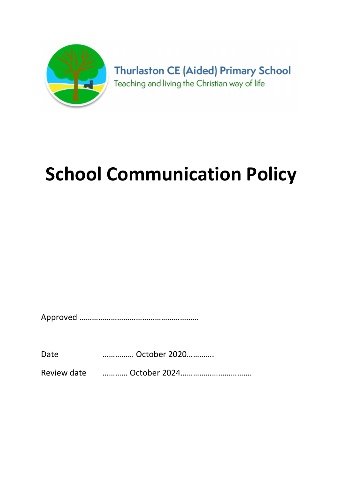

**Thurlaston CE (Aided) Primary School** Teaching and living the Christian way of life

# School Communication Policy

Approved …………………………………………………

Date …………… October 2020………….

Review date ………… October 2024…………………………….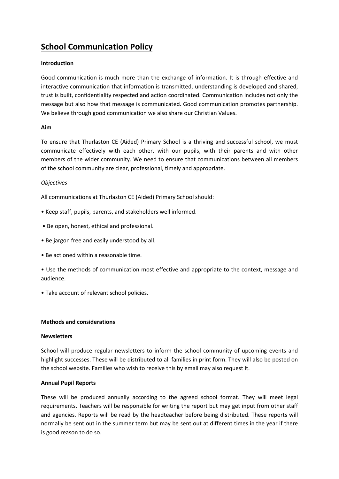# School Communication Policy

# Introduction

Good communication is much more than the exchange of information. It is through effective and interactive communication that information is transmitted, understanding is developed and shared, trust is built, confidentiality respected and action coordinated. Communication includes not only the message but also how that message is communicated. Good communication promotes partnership. We believe through good communication we also share our Christian Values.

# Aim

To ensure that Thurlaston CE (Aided) Primary School is a thriving and successful school, we must communicate effectively with each other, with our pupils, with their parents and with other members of the wider community. We need to ensure that communications between all members of the school community are clear, professional, timely and appropriate.

# **Objectives**

All communications at Thurlaston CE (Aided) Primary School should:

- Keep staff, pupils, parents, and stakeholders well informed.
- Be open, honest, ethical and professional.
- Be jargon free and easily understood by all.
- Be actioned within a reasonable time.
- Use the methods of communication most effective and appropriate to the context, message and audience.
- Take account of relevant school policies.

# Methods and considerations

### **Newsletters**

School will produce regular newsletters to inform the school community of upcoming events and highlight successes. These will be distributed to all families in print form. They will also be posted on the school website. Families who wish to receive this by email may also request it.

# Annual Pupil Reports

These will be produced annually according to the agreed school format. They will meet legal requirements. Teachers will be responsible for writing the report but may get input from other staff and agencies. Reports will be read by the headteacher before being distributed. These reports will normally be sent out in the summer term but may be sent out at different times in the year if there is good reason to do so.